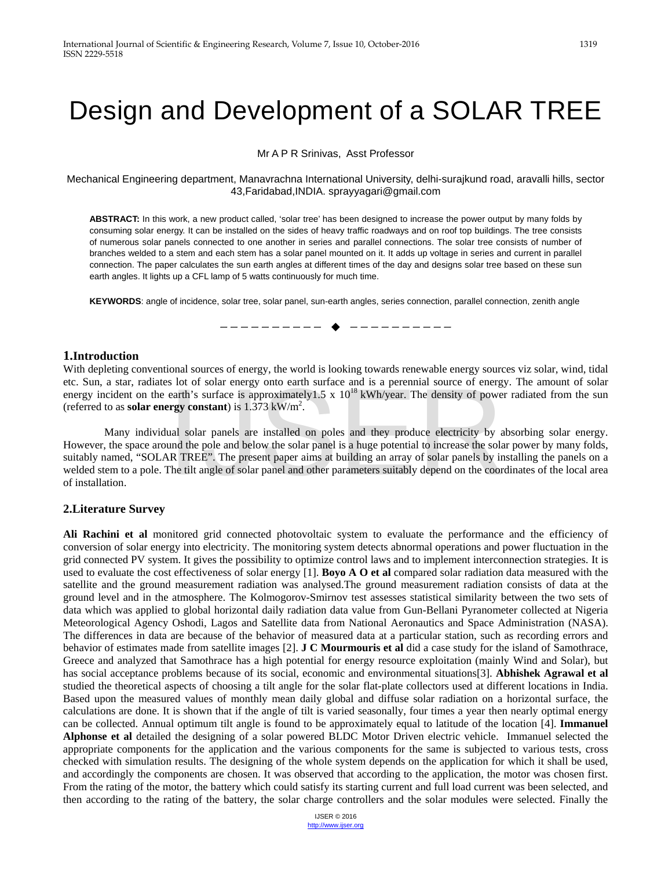# Design and Development of a SOLAR TREE

Mr A P R Srinivas, Asst Professor

Mechanical Engineering department, Manavrachna International University, delhi-surajkund road, aravalli hills, sector 43,Faridabad,INDIA. [sprayyagari@gmail.com](mailto:sprayyagari@gmail.com) 

**ABSTRACT:** In this work, a new product called, 'solar tree' has been designed to increase the power output by many folds by consuming solar energy. It can be installed on the sides of heavy traffic roadways and on roof top buildings. The tree consists of numerous solar panels connected to one another in series and parallel connections. The solar tree consists of number of branches welded to a stem and each stem has a solar panel mounted on it. It adds up voltage in series and current in parallel connection. The paper calculates the sun earth angles at different times of the day and designs solar tree based on these sun earth angles. It lights up a CFL lamp of 5 watts continuously for much time.

**KEYWORDS**: angle of incidence, solar tree, solar panel, sun-earth angles, series connection, parallel connection, zenith angle

# —————————— ——————————

#### **1.Introduction**

With depleting conventional sources of energy, the world is looking towards renewable energy sources viz solar, wind, tidal etc. Sun, a star, radiates lot of solar energy onto earth surface and is a perennial source of energy. The amount of solar energy incident on the earth's surface is approximately1.5 x  $10^{18}$  kWh/year. The density of power radiated from the sun (referred to as **solar energy constant**) is  $1.373 \text{ kW/m}^2$ .

 Many individual solar panels are installed on poles and they produce electricity by absorbing solar energy. However, the space around the pole and below the solar panel is a huge potential to increase the solar power by many folds, suitably named, "SOLAR TREE". The present paper aims at building an array of solar panels by installing the panels on a welded stem to a pole. The tilt angle of solar panel and other parameters suitably depend on the coordinates of the local area of installation. earth's surface is approximately 1.5 x  $10^{18}$  kWh/year. The density of powergy constant) is 1.373 kW/m<sup>2</sup>.<br>
ual solar panels are installed on poles and they produce electricity by a und the pole and below the solar pane

## **2.Literature Survey**

**Ali Rachini et al** monitored grid connected photovoltaic system to evaluate the performance and the efficiency of conversion of solar energy into electricity. The monitoring system detects abnormal operations and power fluctuation in the grid connected PV system. It gives the possibility to optimize control laws and to implement interconnection strategies. It is used to evaluate the cost effectiveness of solar energy [1]. **Boyo A O et al** compared solar radiation data measured with the satellite and the ground measurement radiation was analysed.The ground measurement radiation consists of data at the ground level and in the atmosphere. The Kolmogorov-Smirnov test assesses statistical similarity between the two sets of data which was applied to global horizontal daily radiation data value from Gun-Bellani Pyranometer collected at Nigeria Meteorological Agency Oshodi, Lagos and Satellite data from National Aeronautics and Space Administration (NASA). The differences in data are because of the behavior of measured data at a particular station, such as recording errors and behavior of estimates made from satellite images [2]. **J C Mourmouris et al** did a case study for the island of Samothrace, Greece and analyzed that Samothrace has a high potential for energy resource exploitation (mainly Wind and Solar), but has social acceptance problems because of its social, economic and environmental situations[3]. **Abhishek Agrawal et al** studied the theoretical aspects of choosing a tilt angle for the solar flat-plate collectors used at different locations in India. Based upon the measured values of monthly mean daily global and diffuse solar radiation on a horizontal surface, the calculations are done. It is shown that if the angle of tilt is varied seasonally, four times a year then nearly optimal energy can be collected. Annual optimum tilt angle is found to be approximately equal to latitude of the location [4]. **Immanuel Alphonse et al** detailed the designing of a solar powered BLDC Motor Driven electric vehicle. Immanuel selected the appropriate components for the application and the various components for the same is subjected to various tests, cross checked with simulation results. The designing of the whole system depends on the application for which it shall be used, and accordingly the components are chosen. It was observed that according to the application, the motor was chosen first. From the rating of the motor, the battery which could satisfy its starting current and full load current was been selected, and then according to the rating of the battery, the solar charge controllers and the solar modules were selected. Finally the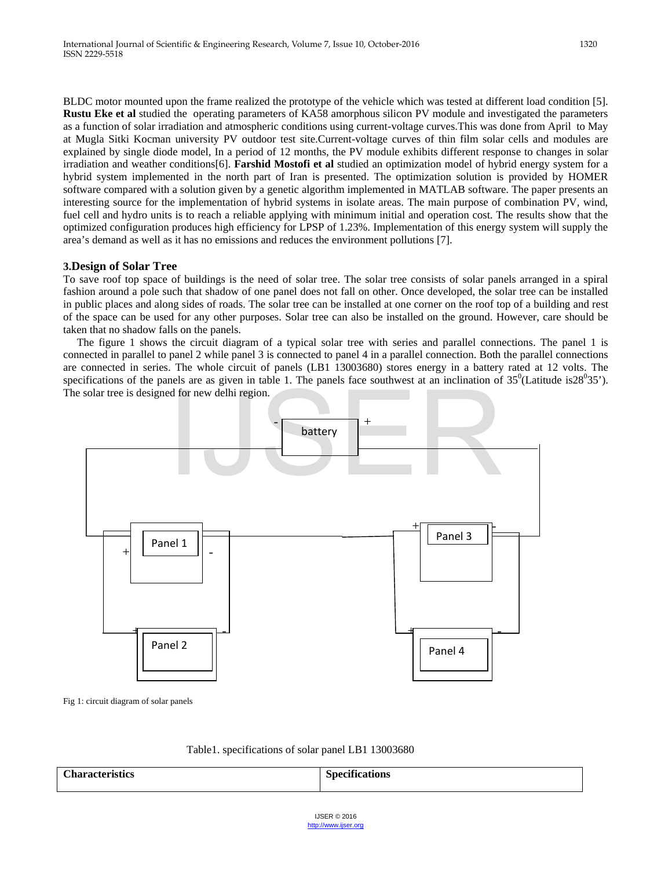BLDC motor mounted upon the frame realized the prototype of the vehicle which was tested at different load condition [5]. **Rustu Eke et al** studied the operating parameters of KA58 amorphous silicon PV module and investigated the parameters as a function of solar irradiation and atmospheric conditions using current-voltage curves.This was done from April to May at Mugla Sitki Kocman university PV outdoor test site.Current-voltage curves of thin film solar cells and modules are explained by single diode model, In a period of 12 months, the PV module exhibits different response to changes in solar irradiation and weather conditions[6]. **Farshid Mostofi et al** studied an optimization model of hybrid energy system for a hybrid system implemented in the north part of Iran is presented. The optimization solution is provided by HOMER software compared with a solution given by a genetic algorithm implemented in MATLAB software. The paper presents an interesting source for the implementation of hybrid systems in isolate areas. The main purpose of combination PV, wind, fuel cell and hydro units is to reach a reliable applying with minimum initial and operation cost. The results show that the optimized configuration produces high efficiency for LPSP of 1.23%. Implementation of this energy system will supply the area's demand as well as it has no emissions and reduces the environment pollutions [7].

## **3.Design of Solar Tree**

To save roof top space of buildings is the need of solar tree. The solar tree consists of solar panels arranged in a spiral fashion around a pole such that shadow of one panel does not fall on other. Once developed, the solar tree can be installed in public places and along sides of roads. The solar tree can be installed at one corner on the roof top of a building and rest of the space can be used for any other purposes. Solar tree can also be installed on the ground. However, care should be taken that no shadow falls on the panels.

 The figure 1 shows the circuit diagram of a typical solar tree with series and parallel connections. The panel 1 is connected in parallel to panel 2 while panel 3 is connected to panel 4 in a parallel connection. Both the parallel connections are connected in series. The whole circuit of panels (LB1 13003680) stores energy in a battery rated at 12 volts. The specifications of the panels are as given in table 1. The panels face southwest at an inclination of  $35^{\circ}$ (Latitude is $28^{\circ}35$ ). The solar tree is designed for new delhi region.



Fig 1: circuit diagram of solar panels

| Table 1. specifications of solar panel LB1 13003680 |  |
|-----------------------------------------------------|--|
|-----------------------------------------------------|--|

| $\sim$<br><u> Тос</u><br>-----<br>`hara<br>и.<br>81.D<br>$\sim$<br>. | $• \nightharpoonup$<br>$\sim$ $\sim$ $\sim$<br>$\sim$ $\sim$<br>- |
|----------------------------------------------------------------------|-------------------------------------------------------------------|
|                                                                      |                                                                   |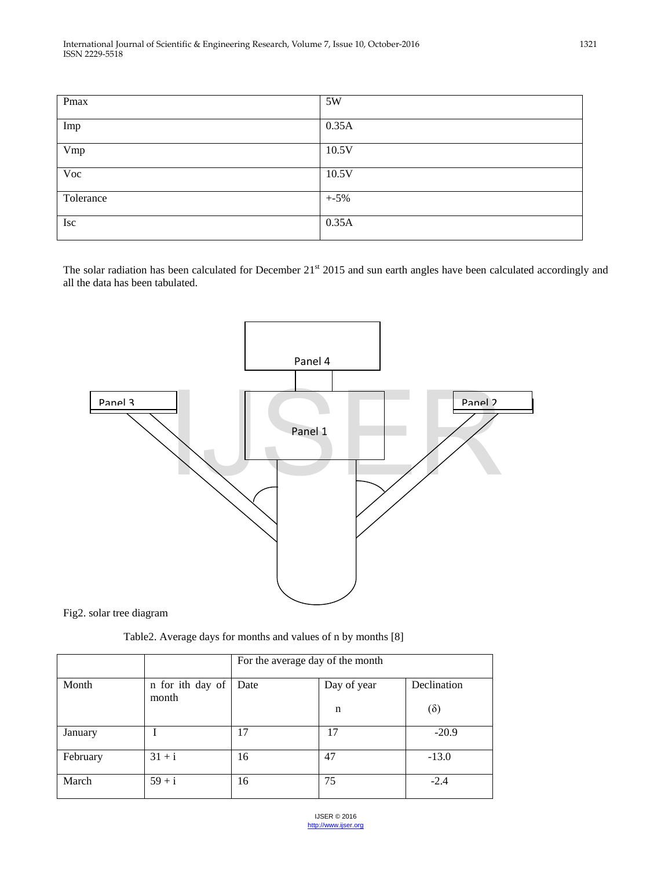| Pmax      | 5W      |
|-----------|---------|
|           |         |
| Imp       | 0.35A   |
|           |         |
| Vmp       | 10.5V   |
|           |         |
| Voc       | 10.5V   |
|           |         |
| Tolerance | $+ -5%$ |
|           |         |
| Isc       | 0.35A   |
|           |         |

The solar radiation has been calculated for December 21<sup>st</sup> 2015 and sun earth angles have been calculated accordingly and all the data has been tabulated.



Fig2. solar tree diagram

Table2. Average days for months and values of n by months [8]

|          |                           | For the average day of the month |             |             |
|----------|---------------------------|----------------------------------|-------------|-------------|
| Month    | n for ith day of<br>month | Date                             | Day of year | Declination |
|          |                           |                                  | n           | $(\delta)$  |
| January  |                           | 17                               | 17          | $-20.9$     |
| February | $31 + i$                  | 16                               | 47          | $-13.0$     |
| March    | $59 + i$                  | 16                               | 75          | $-2.4$      |

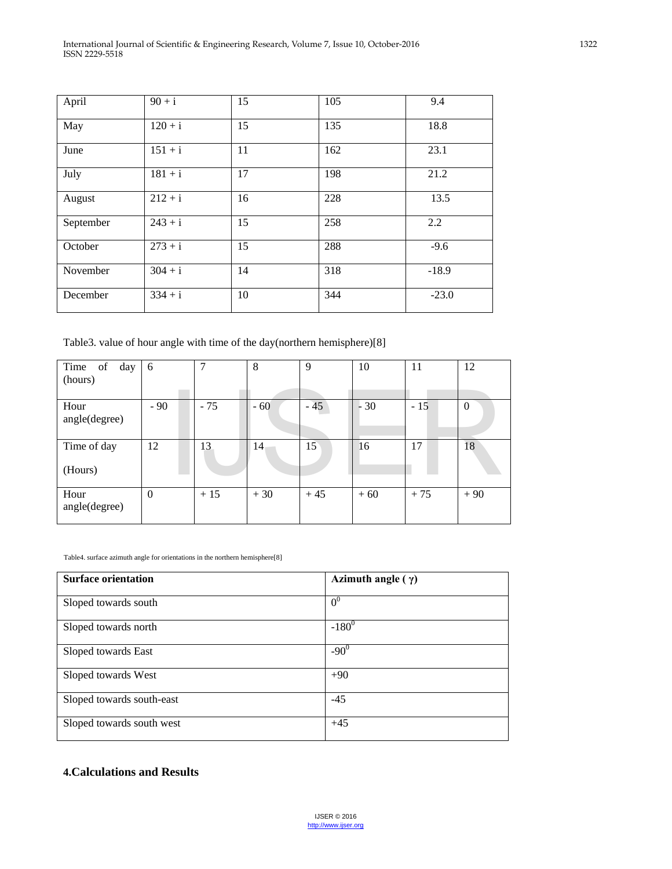| April     | $90 + i$  | 15 | 105 | 9.4     |
|-----------|-----------|----|-----|---------|
| May       | $120 + i$ | 15 | 135 | 18.8    |
| June      | $151 + i$ | 11 | 162 | 23.1    |
| July      | $181 + i$ | 17 | 198 | 21.2    |
| August    | $212 + i$ | 16 | 228 | 13.5    |
| September | $243 + i$ | 15 | 258 | 2.2     |
| October   | $273 + i$ | 15 | 288 | $-9.6$  |
| November  | $304 + i$ | 14 | 318 | $-18.9$ |
| December  | $334 + i$ | 10 | 344 | $-23.0$ |

Table3. value of hour angle with time of the day(northern hemisphere)[8]

| Time of day<br>(hours) | 6        | 7     | 8     | 9     | 10      | 11    | 12             |
|------------------------|----------|-------|-------|-------|---------|-------|----------------|
| Hour<br>angle(degree)  | $-90$    | $-75$ | $-60$ | $-45$ | 30<br>۰ | $-15$ | $\overline{0}$ |
| Time of day<br>(Hours) | 12       | 13    | 14    | 15    | 16      | 17    | 18             |
| Hour<br>angle(degree)  | $\theta$ | $+15$ | $+30$ | $+45$ | $+60$   | $+75$ | $+90$          |

Table4. surface azimuth angle for orientations in the northern hemisphere[8]

| <b>Surface orientation</b> | Azimuth angle $(\gamma)$ |
|----------------------------|--------------------------|
| Sloped towards south       | 0 <sup>0</sup>           |
| Sloped towards north       | $-180^{0}$               |
| Sloped towards East        | $-90^0$                  |
| Sloped towards West        | $+90$                    |
| Sloped towards south-east  | $-45$                    |
| Sloped towards south west  | $+45$                    |

## **4.Calculations and Results**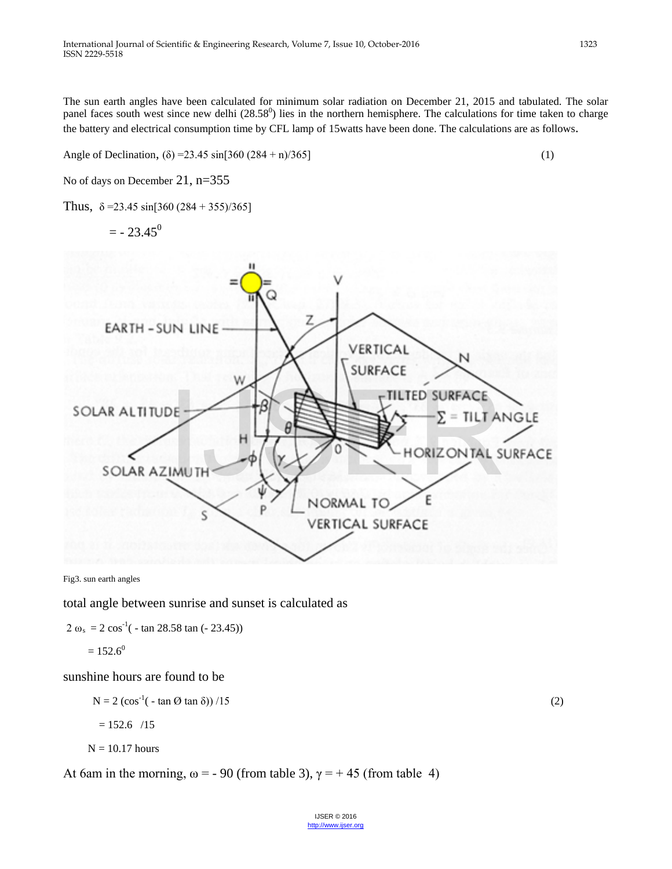The sun earth angles have been calculated for minimum solar radiation on December 21, 2015 and tabulated. The solar panel faces south west since new delhi  $(28.58^{\circ})$  lies in the northern hemisphere. The calculations for time taken to charge the battery and electrical consumption time by CFL lamp of 15watts have been done. The calculations are as follows.

Angle of Declination,  $(\delta) = 23.45 \sin[360 (284 + n)/365]$  (1)

No of days on December 21, n=355

Thus,  $\delta = 23.45 \sin[360 (284 + 355)/365]$ 

 $=$  - 23.45<sup>0</sup>



Fig3. sun earth angles

total angle between sunrise and sunset is calculated as

 $2 \omega_s = 2 \cos^{-1}(-\tan 28.58 \tan (-23.45))$ 

$$
=152.6^0
$$

sunshine hours are found to be

 $N = 2 (\cos^{-1}(-\tan \Theta \tan \delta)) / 15$  (2)

 $= 152.6$  /15

$$
N=10.17 \; hours
$$

At 6am in the morning,  $\omega = -90$  (from table 3),  $\gamma = +45$  (from table 4)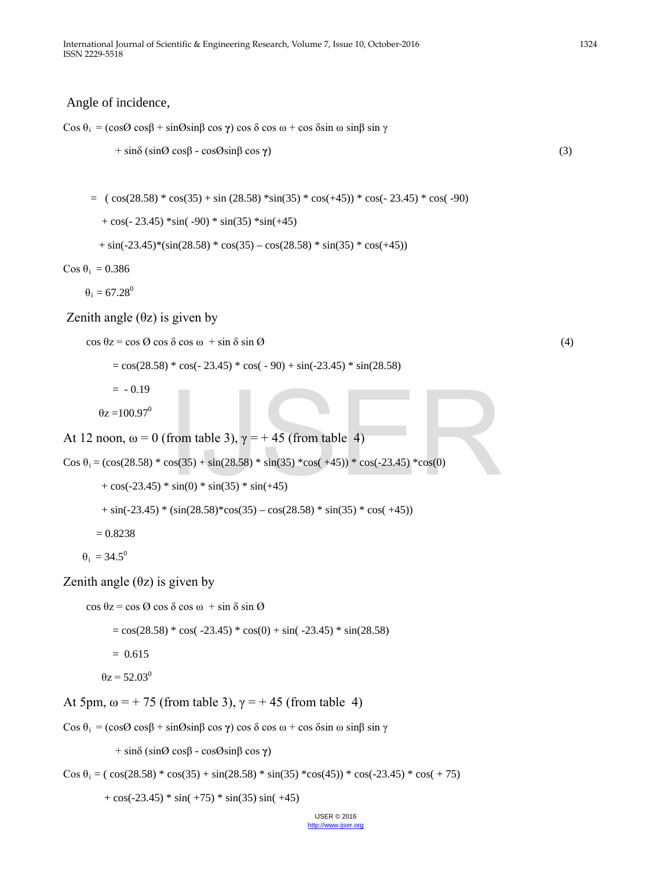## Angle of incidence,

Cos  $\theta_i$  = (cos Ø cos β + sin Øsin β cos γ) cos δ cos ω + cos δsin ω sin β sin γ

$$
+ \sin\delta \left( \sin\theta \cos\beta - \cos\theta \sin\beta \cos\gamma \right) \tag{3}
$$

 $= (\cos(28.58) * \cos(35) + \sin(28.58) * \sin(35) * \cos(+45)) * \cos(-23.45) * \cos(-90)$ 

 $+ \cos(-23.45) \cdot \sin(-90) \cdot \sin(35) \cdot \sin(+45)$ 

$$
+\sin(-23.45) * (\sin(28.58) * \cos(35) - \cos(28.58) * \sin(35) * \cos(+45))
$$

Cos θ<sub>i</sub> = 0.386

 $\theta_i = 67.28^\circ$ 

Zenith angle  $(θz)$  is given by

```
\cos \theta z = \cos \theta \cos \delta \cos \omega + \sin \delta \sin \theta (4)
```
 $= cos(28.58) * cos(-23.45) * cos(-90) + sin(-23.45) * sin(28.58)$ 

 $= -0.19$ 

 $\theta$ z =100.97<sup>0</sup>

At 12 noon,  $\omega = 0$  (from table 3),  $\gamma = +45$  (from table 4)

Cos  $\theta_i = (\cos(28.58) * \cos(35) + \sin(28.58) * \sin(35) * \cos(45)) * \cos(-23.45) * \cos(0)$ 

 $+ \cos(-23.45) * \sin(0) * \sin(35) * \sin(+45)$  $+\sin(-23.45) * (\sin(28.58) * \cos(35) - \cos(28.58) * \sin(35) * \cos(+45))$  $= 0.8238$  $\theta_i = 34.5^\circ$ from table 3),  $\gamma = +45$  (from table 4)<br>  $\cos(35) + \sin(28.58) * \sin(35) * \cos(+45)) * \cos(-23.45) * \cos(0)$ <br>  $\sin(0) * \sin(35) * \sin(+45)$ 

Zenith angle  $(θz)$  is given by

```
 cos θz = cos Ø cos δ cos ω + sin δ sin Ø 
           = cos(28.58) * cos(-23.45) * cos(0) + sin(-23.45) * sin(28.58)= 0.615\thetaz = 52.03<sup>0</sup>
```
At 5pm,  $\omega$  = +75 (from table 3),  $\gamma$  = +45 (from table 4)

Cos  $\theta_i$  = (cos Ø cos β + sin Øsin β cos γ) cos δ cos ω + cos δsin ω sin β sin γ

+ sinδ (sinØ cosβ - cosØsinβ cos **γ**)

Cos  $\theta_i = (\cos(28.58) * \cos(35) + \sin(28.58) * \sin(35) * \cos(45)) * \cos(-23.45) * \cos(+75)$ 

 $+ \cos(-23.45) * \sin(+75) * \sin(35) \sin(+45)$ 

IJSER © 2016 [http://www.ijser.org](http://www.ijser.org/)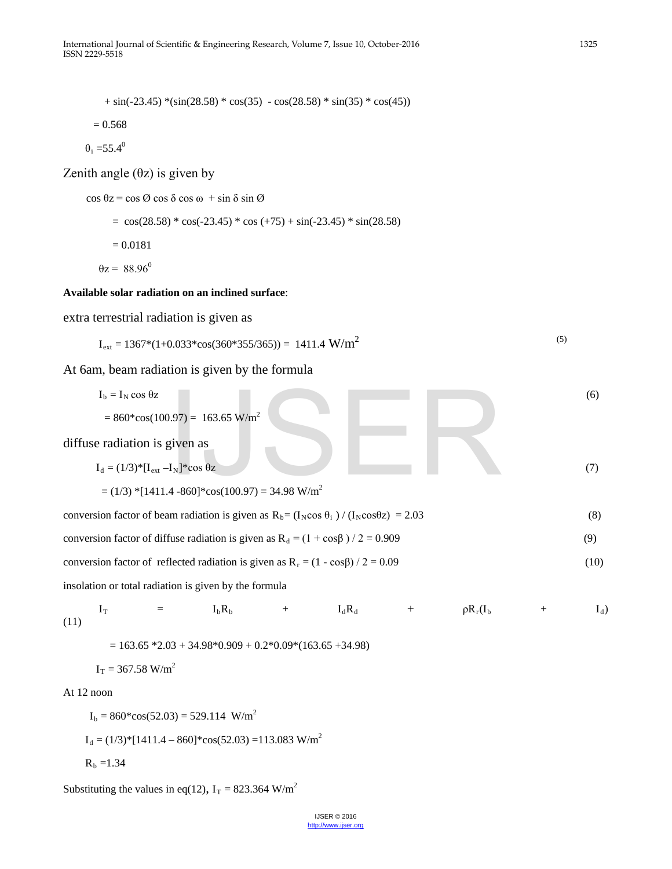$+\sin(-23.45) *(\sin(28.58) * \cos(35) - \cos(28.58) * \sin(35) * \cos(45))$ 

$$
= 0.568
$$

 $\theta_i = 55.4^\circ$ 

Zenith angle  $(\theta z)$  is given by

cos θz = cos Ø cos δ cos ω + sin δ sin Ø

 $=$  cos(28.58) \* cos(-23.45) \* cos (+75) + sin(-23.45) \* sin(28.58) = 0.0181  $\theta$ z = 88.96<sup>0</sup>

## **Available solar radiation on an inclined surface**:

extra terrestrial radiation is given as

$$
I_{ext} = 1367*(1+0.033*\cos(360*355/365)) = 1411.4 W/m2
$$
\n(5)

At 6am, beam radiation is given by the formula

| $I_b = I_N \cos \theta z$                                                                                | (6)  |
|----------------------------------------------------------------------------------------------------------|------|
| $= 860*cos(100.97) = 163.65$ W/m <sup>2</sup>                                                            |      |
| diffuse radiation is given as                                                                            |      |
| $I_d = (1/3)^* [I_{ext} - I_N]^* cos \theta z$                                                           | (7)  |
| $=(1/3)$ *[1411.4 -860]*cos(100.97) = 34.98 W/m <sup>2</sup>                                             |      |
| conversion factor of beam radiation is given as $R_b = (I_N \cos \theta_i) / (I_N \cos \theta z) = 2.03$ | (8)  |
| conversion factor of diffuse radiation is given as $R_d = (1 + \cos\beta)/2 = 0.909$                     | (9)  |
| conversion factor of reflected radiation is given as $R_r = (1 - \cos\beta)/2 = 0.09$                    | (10) |
| insolation or total radiation is given by the formula                                                    |      |

 $I_T$  =  $I_b R_b$  +  $I_d R_d$  +  $\rho R_r(I_b$  +  $I_d)$ (11)

 $= 163.65 *2.03 + 34.98 *0.909 + 0.2 *0.09 * (163.65 +34.98)$ 

$$
I_T = 367.58
$$
 W/m<sup>2</sup>

#### At 12 noon

 $I_b = 860*cos(52.03) = 529.114$  W/m<sup>2</sup>  $I_d = (1/3)*[1411.4 - 860]*cos(52.03) = 113.083$  W/m<sup>2</sup>  $R_b = 1.34$ 

Substituting the values in eq(12),  $I_T = 823.364$  W/m<sup>2</sup>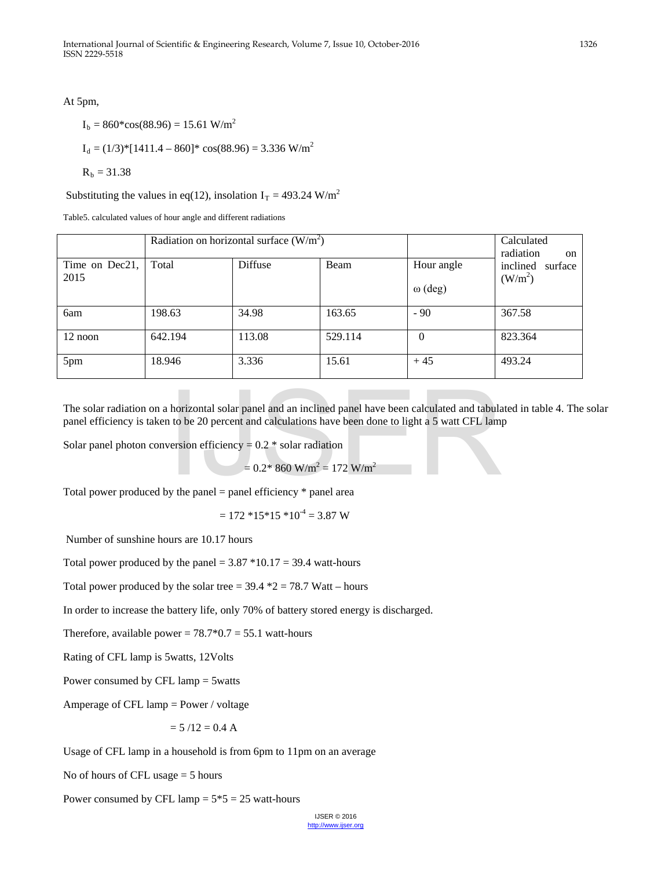At 5pm,

$$
I_b = 860 * cos(88.96) = 15.61 W/m2
$$
  
\n
$$
I_d = (1/3) * [1411.4 - 860] * cos(88.96) = 3.336 W/m2
$$
  
\n
$$
R_b = 31.38
$$

Substituting the values in eq(12), insolation  $I_T = 493.24$  W/m<sup>2</sup>

Table5. calculated values of hour angle and different radiations

| Radiation on horizontal surface $(W/m2)$ |         |         |         |                              | Calculated<br>radiation<br><sub>on</sub>   |
|------------------------------------------|---------|---------|---------|------------------------------|--------------------------------------------|
| Time on Dec21,<br>2015                   | Total   | Diffuse | Beam    | Hour angle<br>$\omega$ (deg) | inclined<br>surface<br>(W/m <sup>2</sup> ) |
| 6am                                      | 198.63  | 34.98   | 163.65  | $-90$                        | 367.58                                     |
| 12 noon                                  | 642.194 | 113.08  | 529.114 | $\Omega$                     | 823.364                                    |
| 5pm                                      | 18.946  | 3.336   | 15.61   | $+45$                        | 493.24                                     |

The solar radiation on a horizontal solar panel and an inclined panel have been calculated and tabulated in table 4. The solar panel efficiency is taken to be 20 percent and calculations have been done to light a 5 watt CFL lamp horizontal solar panel and an inclined panel have been calculated and tabula<br>1 to be 20 percent and calculations have been done to light a 5 watt CFL lam<br>version efficiency = 0.2 \* solar radiation<br>= 0.2\* 860 W/m<sup>2</sup> = 172

Solar panel photon conversion efficiency =  $0.2 *$  solar radiation

 $= 0.2$ \* 860 W/m<sup>2</sup> = 172 W/m<sup>2</sup>

Total power produced by the panel = panel efficiency  $*$  panel area

 $= 172 *15 *15 *10^{-4} = 3.87 W$ 

Number of sunshine hours are 10.17 hours

Total power produced by the panel =  $3.87 * 10.17 = 39.4$  watt-hours

Total power produced by the solar tree =  $39.4 *2 = 78.7$  Watt – hours

In order to increase the battery life, only 70% of battery stored energy is discharged.

Therefore, available power =  $78.7*0.7 = 55.1$  watt-hours

Rating of CFL lamp is 5watts, 12Volts

Power consumed by CFL lamp = 5watts

Amperage of CFL lamp = Power / voltage

$$
= 5 / 12 = 0.4 A
$$

Usage of CFL lamp in a household is from 6pm to 11pm on an average

No of hours of CFL usage = 5 hours

Power consumed by CFL lamp  $= 5*5 = 25$  watt-hours